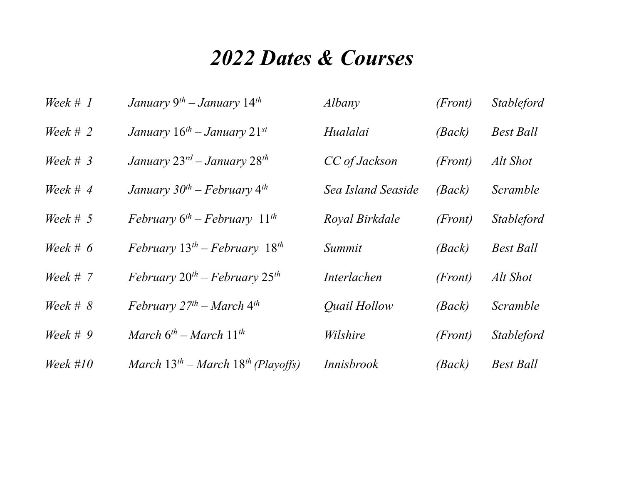## 2022 Dates & Courses

| Week $# 1$ | January 9 <sup>th</sup> – January 14 <sup>th</sup>  | Albany             | (Front) | <b>Stableford</b> |
|------------|-----------------------------------------------------|--------------------|---------|-------------------|
| Week # 2   | January $16^{th}$ – January $21^{st}$               | Hualalai           | (Back)  | <b>Best Ball</b>  |
| Week $# 3$ | January 23 <sup>rd</sup> – January 28 <sup>th</sup> | CC of Jackson      | (Front) | Alt Shot          |
| Week # $4$ | January $30^{th}$ – February 4 <sup>th</sup>        | Sea Island Seaside | (Back)  | Scramble          |
| Week $# 5$ | February $6^{th}$ – February $11^{th}$              | Royal Birkdale     | (Front) | <i>Stableford</i> |
| Week # $6$ | February $13^{th}$ – February $18^{th}$             | Summit             | (Back)  | <b>Best Ball</b>  |
| Week # $7$ | February $20^{th}$ – February $25^{th}$             | <i>Interlachen</i> | (Front) | Alt Shot          |
| Week # $8$ | February $27^{th}$ – March 4 <sup>th</sup>          | Quail Hollow       | (Back)  | Scramble          |
| Week # $9$ | March $6^{th}$ – March $11^{th}$                    | Wilshire           | (Front) | <i>Stableford</i> |
| Week $#10$ | March $13^{th}$ – March $18^{th}$ (Playoffs)        | <i>Innisbrook</i>  | (Back)  | <b>Best Ball</b>  |